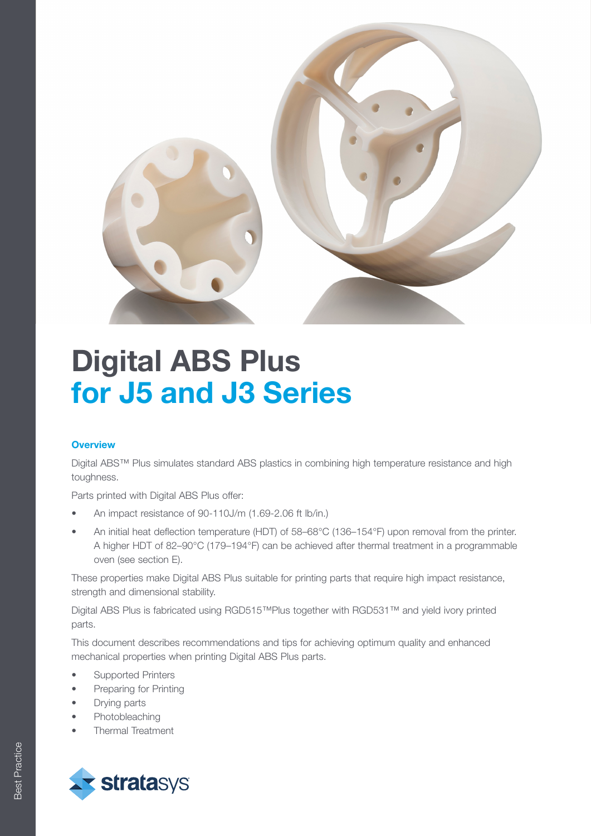

## **Overview**

Digital ABS™ Plus simulates standard ABS plastics in combining high temperature resistance and high toughness.

Parts printed with Digital ABS Plus offer:

- An impact resistance of 90-110J/m (1.69-2.06 ft lb/in.)
- An initial heat deflection temperature (HDT) of 58–68°C (136–154°F) upon removal from the printer. A higher HDT of 82–90°C (179–194°F) can be achieved after thermal treatment in a programmable oven (see section E).

These properties make Digital ABS Plus suitable for printing parts that require high impact resistance, strength and dimensional stability.

Digital ABS Plus is fabricated using RGD515™Plus together with RGD531™ and yield ivory printed parts.

This document describes recommendations and tips for achieving optimum quality and enhanced mechanical properties when printing Digital ABS Plus parts.

- Supported Printers
- Preparing for Printing
- Drying parts
- **Photobleaching**
- Thermal Treatment

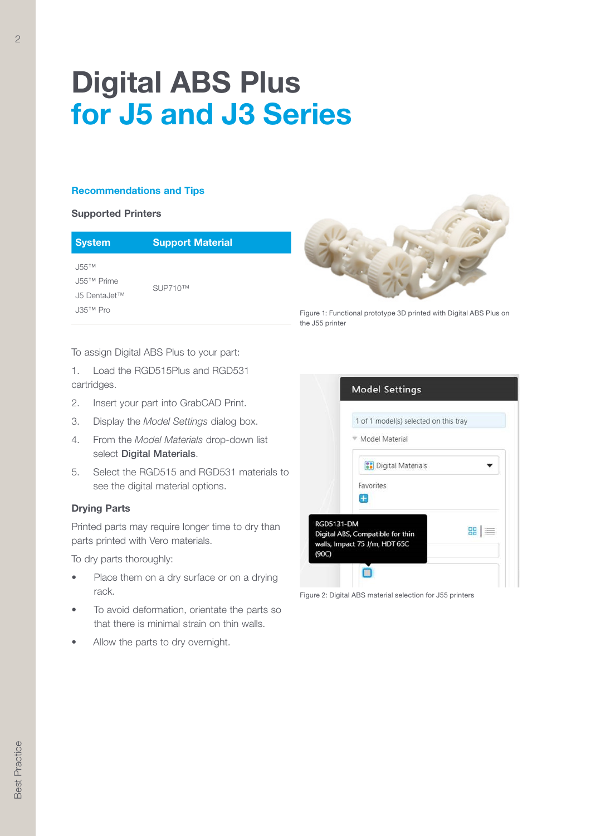### Recommendations and Tips

#### Supported Printers

| <b>System</b> | <b>Support Material</b> |
|---------------|-------------------------|
| $.155$ TM     |                         |

J55™ Prime J5 DentaJet™ J35™ Pro

SUP710™



Figure 1: Functional prototype 3D printed with Digital ABS Plus on the J55 printer

To assign Digital ABS Plus to your part:

1. Load the RGD515Plus and RGD531 cartridges.

- 2. Insert your part into GrabCAD Print.
- 3. Display the Model Settings dialog box.
- 4. From the Model Materials drop-down list select Digital Materials.
- 5. Select the RGD515 and RGD531 materials to see the digital material options.

## Drying Parts

Printed parts may require longer time to dry than parts printed with Vero materials.

To dry parts thoroughly:

- Place them on a dry surface or on a drying rack.
- To avoid deformation, orientate the parts so that there is minimal strain on thin walls.
- Allow the parts to dry overnight.



Figure 2: Digital ABS material selection for J55 printers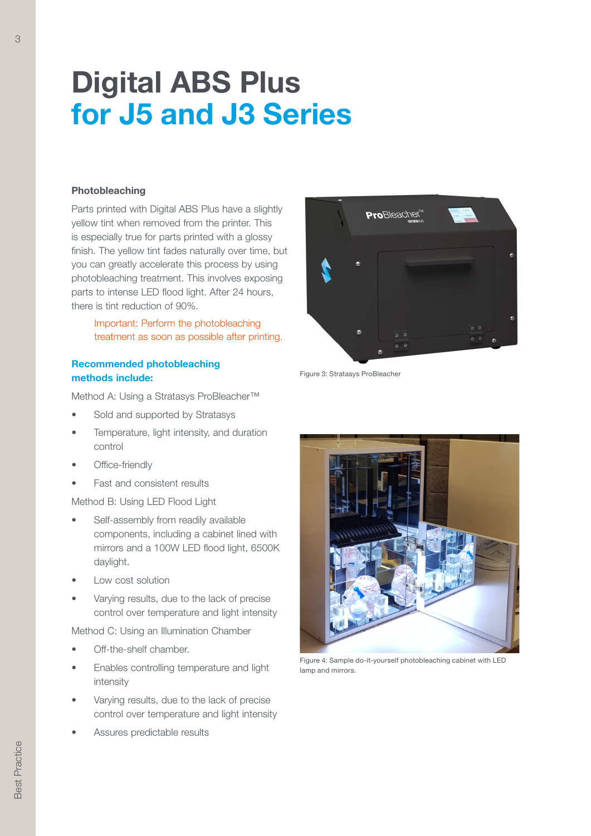#### Photobleaching

Parts printed with Digital ABS Plus have a slightly yellow tint when removed from the printer. This is especially true for parts printed with a glossy finish. The yellow tint fades naturally over time, but you can greatly accelerate this process by using photobleaching treatment. This involves exposing parts to intense LED flood light. After 24 hours, there is tint reduction of 90%.

# ProBleacher

Figure 3: Stratasys ProBleacher

## Recommended photobleaching methods include:

Method A: Using a Stratasys ProBleacher™

- Sold and supported by Stratasys
- Temperature, light intensity, and duration control
- Office-friendly
- Fast and consistent results

```
Method B: Using LED Flood Light
```
- Self-assembly from readily available components, including a cabinet lined with mirrors and a 100W LED flood light, 6500K daylight.
- Low cost solution
- Varying results, due to the lack of precise control over temperature and light intensity

Method C: Using an Illumination Chamber

- Off-the-shelf chamber.
- Enables controlling temperature and light intensity
- Varying results, due to the lack of precise control over temperature and light intensity
- Assures predictable results



Figure 4: Sample do-it-yourself photobleaching cabinet with LED lamp and mirrors.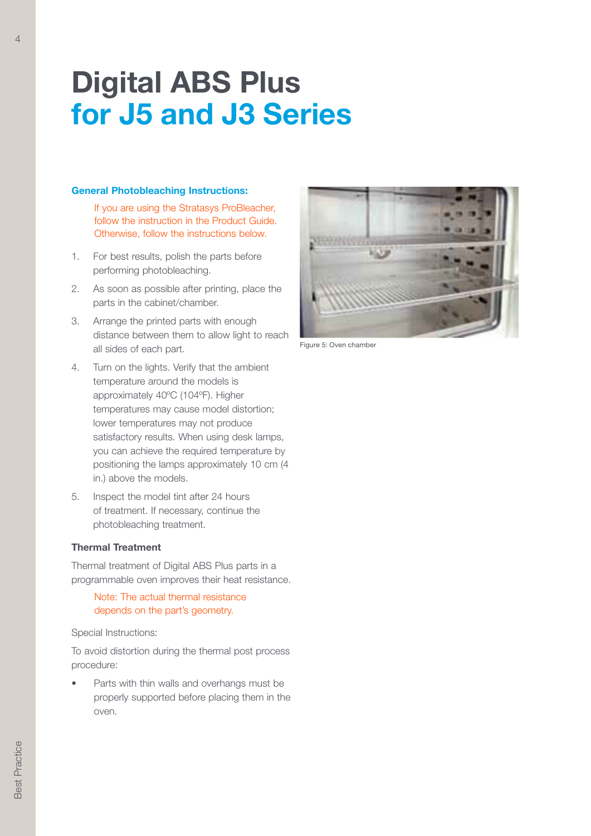#### General Photobleaching Instructions:

- 1. For best results, polish the parts before performing photobleaching.
- 2. As soon as possible after printing, place the parts in the cabinet/chamber.
- 3. Arrange the printed parts with enough distance between them to allow light to reach all sides of each part.
- 4. Turn on the lights. Verify that the ambient temperature around the models is approximately 40ºC (104ºF). Higher temperatures may cause model distortion; lower temperatures may not produce satisfactory results. When using desk lamps, you can achieve the required temperature by positioning the lamps approximately 10 cm (4 in.) above the models.
- 5. Inspect the model tint after 24 hours of treatment. If necessary, continue the photobleaching treatment.

#### Thermal Treatment

Thermal treatment of Digital ABS Plus parts in a programmable oven improves their heat resistance.

Special Instructions:

To avoid distortion during the thermal post process procedure:

Parts with thin walls and overhangs must be properly supported before placing them in the oven.



Figure 5: Oven chamber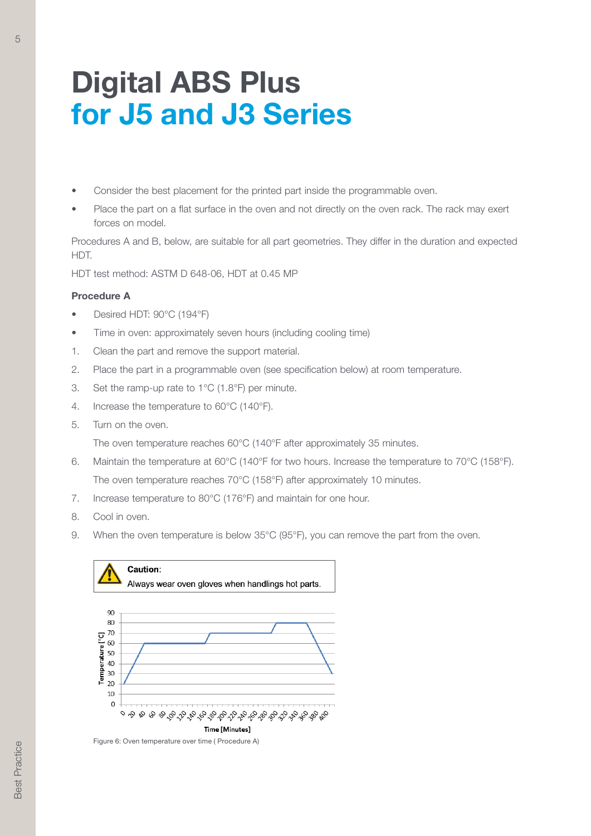- Consider the best placement for the printed part inside the programmable oven.
- Place the part on a flat surface in the oven and not directly on the oven rack. The rack may exert forces on model.

Procedures A and B, below, are suitable for all part geometries. They differ in the duration and expected HDT.

HDT test method: ASTM D 648-06, HDT at 0.45 MP

#### Procedure A

5

- Desired HDT: 90°C (194°F)
- Time in oven: approximately seven hours (including cooling time)
- 1. Clean the part and remove the support material.
- 2. Place the part in a programmable oven (see specification below) at room temperature.
- 3. Set the ramp-up rate to 1°C (1.8°F) per minute.
- 4. Increase the temperature to 60°C (140°F).
- 5. Turn on the oven.

The oven temperature reaches 60°C (140°F after approximately 35 minutes.

- 6. Maintain the temperature at 60°C (140°F for two hours. Increase the temperature to 70°C (158°F). The oven temperature reaches 70°C (158°F) after approximately 10 minutes.
- 7. Increase temperature to 80°C (176°F) and maintain for one hour.
- 8. Cool in oven.
- 9. When the oven temperature is below 35°C (95°F), you can remove the part from the oven.



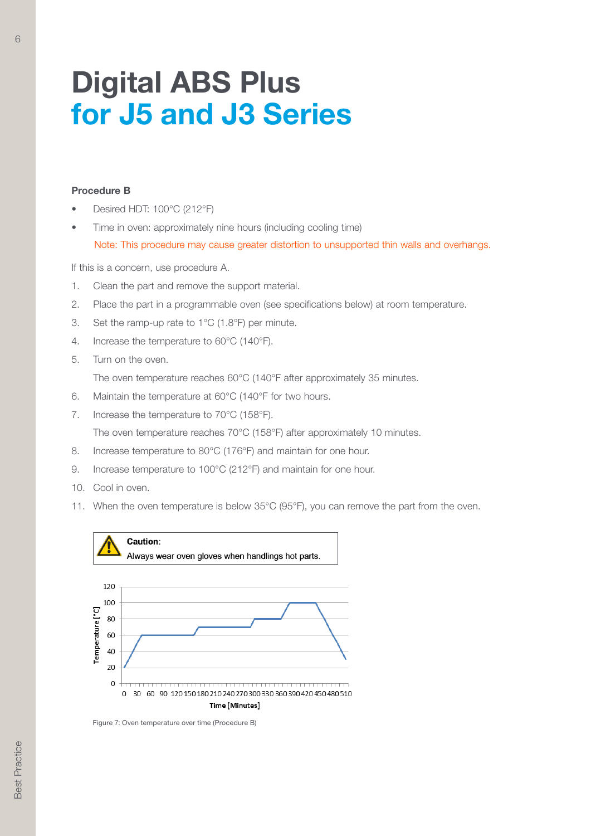#### Procedure B

- Desired HDT: 100°C (212°F)
- Time in oven: approximately nine hours (including cooling time)

If this is a concern, use procedure A.

- 1. Clean the part and remove the support material.
- 2. Place the part in a programmable oven (see specifications below) at room temperature.
- 3. Set the ramp-up rate to 1°C (1.8°F) per minute.
- 4. Increase the temperature to 60°C (140°F).
- 5. Turn on the oven.

The oven temperature reaches 60°C (140°F after approximately 35 minutes.

- 6. Maintain the temperature at 60°C (140°F for two hours.
- 7. Increase the temperature to 70°C (158°F). The oven temperature reaches 70°C (158°F) after approximately 10 minutes.
- 8. Increase temperature to 80°C (176°F) and maintain for one hour.
- 9. Increase temperature to 100°C (212°F) and maintain for one hour.
- 10. Cool in oven.
- 11. When the oven temperature is below 35°C (95°F), you can remove the part from the oven.



Figure 7: Oven temperature over time (Procedure B)